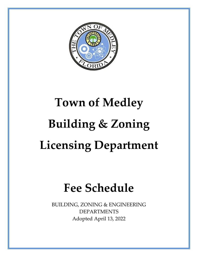

# **Town of Medley Building & Zoning Licensing Department**

## **Fee Schedule**

BUILDING, ZONING & ENGINEERING DEPARTMENTS Adopted April 13, 2022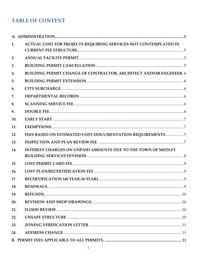## **TABLE OF CONTENT**

| 1.  | ACTUAL COST FOR PROJECTS REQUIRING SERVICES NOT CONTEMPLATED IN    |  |
|-----|--------------------------------------------------------------------|--|
|     |                                                                    |  |
| 2.  |                                                                    |  |
| 3.  |                                                                    |  |
| 4.  | BUILDING PERMIT CHANGE OF CONTRACTOR, ARCHITECT AND/OR ENGINEER. 6 |  |
| 5.  |                                                                    |  |
| 6.  |                                                                    |  |
| 7.  |                                                                    |  |
| 8.  |                                                                    |  |
| 9.  |                                                                    |  |
| 10. |                                                                    |  |
| 11. |                                                                    |  |
| 12. |                                                                    |  |
| 13. |                                                                    |  |
| 14. | INTEREST CHARGES ON UNPAID AMOUNTS DUE TO THE TOWN OF MEDLEY       |  |
|     |                                                                    |  |
| 15. |                                                                    |  |
| 16. |                                                                    |  |
| 17. |                                                                    |  |
| 18. |                                                                    |  |
| 19. |                                                                    |  |
| 20. |                                                                    |  |
| 21. |                                                                    |  |
| 22. |                                                                    |  |
| 23. |                                                                    |  |
| 24. |                                                                    |  |
|     |                                                                    |  |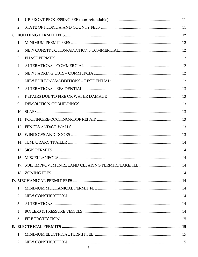| 2.             |  |
|----------------|--|
|                |  |
| $\mathbf{1}$ . |  |
| 2.             |  |
| 3.             |  |
| 4.             |  |
| 5.             |  |
| 6.             |  |
| 7.             |  |
| 8.             |  |
| 9.             |  |
|                |  |
|                |  |
|                |  |
|                |  |
|                |  |
|                |  |
|                |  |
|                |  |
|                |  |
|                |  |
| 1.             |  |
| 2.             |  |
| 3.             |  |
| $4_{\cdot}$    |  |
| 5.             |  |
|                |  |
| 1.             |  |
| 2.             |  |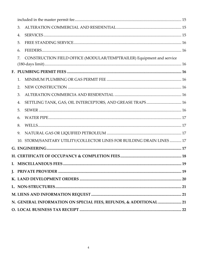| 3. |                                                                         |  |
|----|-------------------------------------------------------------------------|--|
| 4. |                                                                         |  |
| 5. |                                                                         |  |
| 6. |                                                                         |  |
| 7. | CONSTRUCTION FIELD OFFICE (MODULAR/TEMPTRAILER) Equipment and service   |  |
|    |                                                                         |  |
| 1. |                                                                         |  |
| 2. |                                                                         |  |
| 3. |                                                                         |  |
| 4. | SETTLING TANK, GAS, OIL INTERCEPTORS, AND GREASE TRAPS 16               |  |
| 5. |                                                                         |  |
| 6. |                                                                         |  |
| 8. |                                                                         |  |
| 9. |                                                                         |  |
|    | 10. STORM/SANITARY UTILITY/COLLECTOR LINES FOR BUILDING DRAIN LINES  17 |  |
|    |                                                                         |  |
|    |                                                                         |  |
|    |                                                                         |  |
|    |                                                                         |  |
|    |                                                                         |  |
|    |                                                                         |  |
|    |                                                                         |  |
|    | N. GENERAL INFORMATION ON SPECIAL FEES, REFUNDS, & ADDITIONAL  21       |  |
|    |                                                                         |  |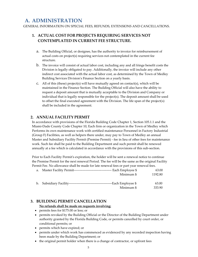## <span id="page-4-0"></span>**A. ADMINISTRATION**

<span id="page-4-1"></span>GENERAL INFORMATION ON SPECIAL FEES, REFUNDS, EXTENSIONS AND CANCELLATIONS.

## **1. ACTUAL COST FOR PROJECTS REQUIRING SERVICES NOT CONTEMPLATED IN CURRENT FEE STRUCTURE.**

- a. The Building Official, or designee, has the authority to invoice for reimbursement of actual costs on project(s) requiring services not contemplated in the current fee structure.
- b. The invoice will consist of actual labor cost, including any and all fringe benefit costs the Division is legally obligated to pay. Additionally, the invoice will include any other indirect cost associated with the actual labor cost, as determined by the Town of Medley Building Services Division's Finance Section on a yearly basis.
- c. All of this (these) project(s) will have mutually agreed on contact(s), which will be maintained in the Finance Section. The Building Official will also have the ability to request a deposit amount that is mutually acceptable to the Division and Company or individual that is legally responsible for the project(s). The deposit amount shall be used to offset the final executed agreement with the Division. The life span of the project(s) shall be included in the agreement.

#### <span id="page-4-2"></span>**2. ANNUAL FACILITY PERMIT**

In accordance with provisions of the Florida Building Code Chapter 1, Section 105.1.1 and the Miami-Dade County Code Chapter 10, Each firm or organization in the Town of Medley which Performs its own maintenance work with certified maintenance Personnel in Factory Industrial (Group F) Facilities, as well as helpers there under, may pay to Town of Medley an annual Master and Subsidiary Facility Permit (Premise Permit) - fee in lieu of other fees for maintenance work. Such fee shall be paid to the Building Department and such permit shall be renewed annually at a fee which is calculated in accordance with the provisions of this sub-section.

Prior to Each Facility Permit's expiration, the holder will be sent a renewal notice to continue the Premise Permit for the next renewal Period. The fee will be the same as the original Facility Permit Fee. No allowance shall be made for late renewal fees or part year renewal fees.

| a. | Each Employee \$<br>Master Facility Permit----------------------------- | 63.00   |  |
|----|-------------------------------------------------------------------------|---------|--|
|    | Minimum \$                                                              | 1192.80 |  |
|    | --Each Employee \$<br>b. Subsidiary Facility---                         | 63.00   |  |
|    |                                                                         |         |  |
|    | Minimum \$                                                              | 333.90  |  |

#### <span id="page-4-3"></span>**3. BUILDING PERMIT CANCELLATION**

#### **No refunds shall be made on requests involving:**

- permits fees for \$175.00 or less; or
- permits revoked by the Building Official or the Director of the Building Department under authority granted by the Florida Building Code, or permits cancelled by court order, or conditional permits; or
- permits which have expired; or
- permits under which work has commenced as evidenced by any recorded inspection having been made by the Building Department; or
- the original permit holder when there is a change of contractor, or upfront fees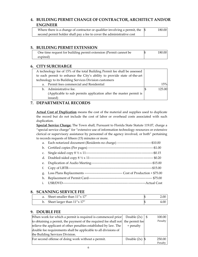## <span id="page-5-0"></span>**4. BUILDING PERMIT CHANGE OF CONTRACTOR, ARCHITECT AND/OR ENGINEER**

| Where there is a change of contractor or qualifier involving a permit, the $\ \ \$ | 180.00 |
|------------------------------------------------------------------------------------|--------|
| second permit holder shall pay a fee to cover the administrative cost              |        |

#### <span id="page-5-1"></span>**5. BUILDING PERMIT EXTENSION**

| One time request for building permit extension (Permit cannot be | 180.00 |
|------------------------------------------------------------------|--------|
| expired)                                                         |        |

#### <span id="page-5-2"></span>**6. CITY SURCHARGE**

| A technology fee of 15% of the total Building Permit fee shall be assessed |        |
|----------------------------------------------------------------------------|--------|
| to each permit to enhance the City's ability to provide state of-the-art   |        |
| technology to its Building Services Division customers                     |        |
| a. Permit fees commercial and Residential                                  | 15%    |
| b. Administrative fee.                                                     | 125.00 |
| (Applicable to sub permits application after the master permit is          |        |
| issued)                                                                    |        |

#### <span id="page-5-3"></span>**7. DEPARTMENTAL RECORDS**

**Actual Cost of Duplication** means the cost of the material and supplies used to duplicate the record but do not include the cost of labor or overhead costs associated with such duplication.

**Special Service Charge:** The Town shall, Pursuant to Florida State Statute 119.07, charge a "special service charge" for "extensive use of information technology resources or extensive clerical or supervisory assistance by personnel of the agency involved, or both" pertaining to records requests of fifteen (15) minutes or more.

| a. Each notarized document (Residents no charge) --------------------------------\$10.00 |  |
|------------------------------------------------------------------------------------------|--|
|                                                                                          |  |
|                                                                                          |  |
|                                                                                          |  |
|                                                                                          |  |
|                                                                                          |  |
|                                                                                          |  |
|                                                                                          |  |
|                                                                                          |  |
|                                                                                          |  |

#### <span id="page-5-4"></span>**8. SCANNING SERVICE FEE**

| Sheet smaller than $11''x$ $17''$ | $\angle 0.0$ |
|-----------------------------------|--------------|
| Sheet larger than 11"x 17"        | 4.00         |

#### <span id="page-5-5"></span>**9. DOUBLE FEE**

| When work for which a permit is required is commenced prior                     | Double $(2x)$   \$ | 100.00  |
|---------------------------------------------------------------------------------|--------------------|---------|
| to obtaining a permit, the payment of the required fee shall not the permit fee |                    | Penalty |
| relieve the applicant of other penalties established by law. The                | + penalty          |         |
| double fee requirements shall be applicable to all divisions of                 |                    |         |
| the Building Services Division.                                                 |                    |         |
| For second offense of doing work without a permit.                              | Double $(2x)$ \$   | 250.00  |
|                                                                                 |                    | Penalty |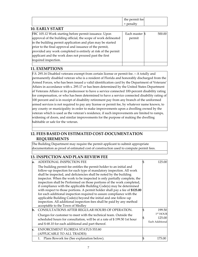<span id="page-6-0"></span>

|                                                                 | the permit fee |        |
|-----------------------------------------------------------------|----------------|--------|
|                                                                 | + penalty      |        |
| <b>10. EARLY START</b>                                          |                |        |
| FBC 105.12 Work starting before permit issuance. Upon           | Each master \$ | 500.00 |
| approval of the building official, the scope of work delineated | permit         |        |
| in the building permit application and plan may be started      |                |        |
| prior to the final approval and issuance of the permit,         |                |        |
| provided any work completed is entirely at risk of the permit   |                |        |
| applicant and the work does not proceed past the first          |                |        |
| required inspection.                                            |                |        |
|                                                                 |                |        |

## <span id="page-6-1"></span>**11. EXEMPTIONS**

F.S. 295.16 Disabled veterans exempt from certain license or permit fee.—A totally and permanently disabled veteran who is a resident of Florida and honorably discharged from the Armed Forces, who has been issued a valid identification card by the Department of Veterans' Affairs in accordance with s. 295.17 or has been determined by the United States Department of Veterans Affairs or its predecessor to have a service connected 100-percent disability rating for compensation, or who has been determined to have a service connected disability rating of 100 percent and is in receipt of disability retirement pay from any branch of the uniformed armed services is not required to pay any license or permit fee, by whatever name known, to any county or municipality in order to make improvements upon a dwelling owned by the veteran which is used as the veteran's residence, if such improvements are limited to ramps, widening of doors, and similar improvements for the purpose of making the dwelling habitable or safe for the veteran.

## <span id="page-6-2"></span>**12. FEES BASED ON ESTIMATED COST-DOCUMENTATION REQUIREMENTS**

The Building Department may require the permit applicant to submit appropriate documentation as proof of estimated cost of construction used to compute permit fees.

## <span id="page-6-3"></span>**13. INSPECTION AND PLAN REVIEW FEE**

| la. | ADDITIONAL INSPECTION FEE                                                                                                                                                                                                                                                                                                                                                                                                                                                                                                                                                                                                                                                                                                                                                                   | 125.00                                                      |
|-----|---------------------------------------------------------------------------------------------------------------------------------------------------------------------------------------------------------------------------------------------------------------------------------------------------------------------------------------------------------------------------------------------------------------------------------------------------------------------------------------------------------------------------------------------------------------------------------------------------------------------------------------------------------------------------------------------------------------------------------------------------------------------------------------------|-------------------------------------------------------------|
|     | The building permit fee entitles the permit holder to an initial and<br>follow-up inspection for each type of mandatory inspection. All work<br>shall be inspected, and deficiencies shall be noted by the building<br>inspector. When the work to be inspected is only partially complete, the<br>inspection shall be Performed on those portions of the work completed,<br>if compliance with the applicable Building Code(s) may be determined<br>with respect to those portions. A permit holder shall pay a fee of \$125.00<br>for each additional inspection required to assure compliance with the<br>applicable Building Code(s) beyond the initial and one follow-up<br>inspection. All additional inspection fees shall be paid by any method<br>acceptable to the Town of Medley |                                                             |
| b.  | CONSULTATIONS AFTER REGULAR HOURS OF OPERATION.<br>Charges for customer to meet with the technical team. Outside the<br>scheduled hours for consultation, will be at a rate of \$199.50 1st hour<br>and \$68.10 for each additional and part thereof.                                                                                                                                                                                                                                                                                                                                                                                                                                                                                                                                       | 199.50<br>1 <sup>ST</sup> HOUR<br>125.00<br>Each Additional |
| c.  | <b>ENFORCEMENT FLORIDA STATUS 553.80</b><br>(APPLICABLE TO ALL TRADES)<br>Plans Rework fee (See explanation below).<br>1.                                                                                                                                                                                                                                                                                                                                                                                                                                                                                                                                                                                                                                                                   | 175.00                                                      |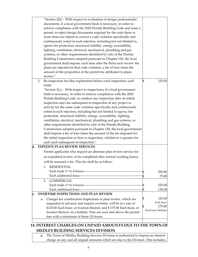|    |    | "Section 2(b) – With respect to evaluation of design professionals"     |                   |
|----|----|-------------------------------------------------------------------------|-------------------|
|    |    | documents, if a local government finds it necessary, in order to        |                   |
|    |    | enforce compliance with the 2020 Florida Building Code and issue a      |                   |
|    |    | permit, to reject design documents required by the code three or        |                   |
|    |    | more times for failure to correct a code violation specifically and     |                   |
|    |    | continuously noted in each rejection, including but not limited to,     |                   |
|    |    | egress fire protection, structural stability, energy accessibility,     |                   |
|    |    | lighting, ventilation, electrical, mechanical, plumbing and gas         |                   |
|    |    |                                                                         |                   |
|    |    | systems, or other requirements identified by rule of the Florida        |                   |
|    |    | Building Commission adopted pursuant to Chapter 120, the local          |                   |
|    |    | government shall impose, each time after the third such review the      |                   |
|    |    | plans are rejected for that code violation, a fee of four times the     |                   |
|    |    | amount of the proportion of the permit fee attributed to plans          |                   |
|    |    | review."                                                                |                   |
|    | 2. | Re-inspection fee (See explanation below) each inspection, each         | \$<br>125.00      |
|    |    | trade.                                                                  |                   |
|    |    | "Section $2(c)$ – With respect to inspections, if a local government    |                   |
|    |    | finds it necessary, in order to enforce compliance with the 2020        |                   |
|    |    | Florida Building Code, to conduct any inspection after an initial       |                   |
|    |    | inspection and one subsequent re-inspection of any project or           |                   |
|    |    | activity for the same code violation specifically and continuously      |                   |
|    |    | noted in each rejection, including but not limited to egress, fire      |                   |
|    |    | protection, structural stability, energy, accessibility, lighting,      |                   |
|    |    | ventilation, electrical, mechanical, plumbing and gas systems, or       |                   |
|    |    | other requirements identified by rule of the Florida Building           |                   |
|    |    | Commission adopted pursuant to Chapter 120, the local government        |                   |
|    |    | shall impose a fee of four times the amount of the fee imposed for      |                   |
|    |    | the initial inspection or first re-inspection, whichever is greater for |                   |
|    |    | each such subsequent re-inspection."                                    |                   |
| d. |    | <b>EXPEDITE PLAN REVIEW SERVICES</b>                                    |                   |
|    |    |                                                                         |                   |
|    |    | Permit applicants who request an alternate plan review service for      |                   |
|    |    | an expedited review, to be completed after normal working hours,        |                   |
|    |    | will be assessed a fee. This fee shall be as follow:                    |                   |
|    |    | <b>RESIDENTIAL</b><br>$\mathbf{1}$ .                                    |                   |
|    |    |                                                                         | 250.00            |
|    |    |                                                                         | 75.00             |
|    |    | <b>COMMERCIAL</b><br>2.                                                 |                   |
|    |    |                                                                         | 525.00            |
|    |    |                                                                         | 130.00            |
| e. |    | <b>OVERTIME INSPECTIONS AND PLAN REVIEW</b>                             |                   |
|    | a. | Charges for construction inspections or plan review, which are          | 125.00            |
|    |    | requested in advance and require overtime, will be at a rate of         | Each hour         |
|    |    | \$125.00 Each hour, or fraction thereof, and \$175.00 Each hour, or     | 175.00            |
|    |    | fraction thereof, on a holiday. Fees are over and above the permit      | Each hour Holiday |
|    |    |                                                                         |                   |
|    |    | fees with a minimum of three (3) hours.                                 |                   |

## <span id="page-7-0"></span>**14. INTEREST CHARGES ON UNPAID AMOUNTS DUE TO THE TOWN OF MEDLEY BUILDING SERVICES DIVISION**

**a.** The Town of Medley Building Services Division is authorized to impose an interest charge on any and all unpaid amounts which are due to the Division. This includes,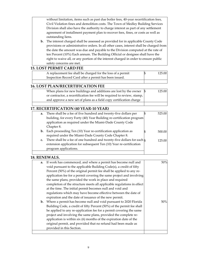without limitation, items such as past due boiler fees, 40-year recertification fees, Civil Violation fines and demolition costs. The Town of Medley Building Services Division shall also have the authority to charge interest as part of any settlement agreement of installment payment plan to recover fees, fines, or costs as well as outstanding liens.

**b.** The interest charged shall be assessed as provided for in applicable County Code provisions or administrative orders. In all other cases, interest shall be charged from the date the amount was due and payable to the Division computed at the rate of ten Percent (10%) Each annum. The Building Official or designee shall have the right to waive all, or any portion of the interest charged in order to ensure public safety concerns are met.

#### <span id="page-8-0"></span>**15. LOST PERMIT CARD FEE**

| A replacement fee shall be charged for the loss of a permit | 125.00 |
|-------------------------------------------------------------|--------|
| Inspection Record Card after a permit has been issued.      |        |

#### <span id="page-8-1"></span>**16. LOST PLAN/RECERTIFICATION FEE**

| When plans for new buildings and additions are lost by the owner            |  | 125.00 |
|-----------------------------------------------------------------------------|--|--------|
| or contractor, a recertification fee will be required to review, stamp, $ $ |  |        |
| and approve a new set of plans as a field copy certification charge         |  |        |

#### <span id="page-8-2"></span>**17. RECERTIFICATION (40 YEAR-10 YEAR)**

| a. There shall be a fee of five hundred and twenty-five dollars per                   | 525.00 |
|---------------------------------------------------------------------------------------|--------|
| building, for every Forty (40) Year Building re-certification program                 |        |
| application as required under the Miami-Dade County Code                              |        |
| Chapter 8.                                                                            |        |
| <b>b.</b> Each proceeding Ten (10) Year re-certification application as               | 500.00 |
| required under the Miami-Dade County Code Chapter 8.                                  |        |
| c. There shall be a fee of one hundred and twenty-five dollars for each $\frac{1}{8}$ | 125.00 |
| extension application for subsequent Ten (10) Year re-certification                   |        |
| program applications.                                                                 |        |
|                                                                                       |        |

#### <span id="page-8-3"></span>**18. RENEWALS.**

| a. | If work has commenced, and where a permit has become null and              | 50% |
|----|----------------------------------------------------------------------------|-----|
|    | void pursuant to the applicable Building Code(s), a credit of fifty        |     |
|    | Percent (50%) of the original permit fee shall be applied to any re-       |     |
|    | application fee for a permit covering the same project and involving       |     |
|    | the same plans, provided the work in place and required                    |     |
|    | completion of the structure meets all applicable regulations in effect     |     |
|    | at the time. The initial permit becomes null and void and                  |     |
|    | regulations which may have become effective between the date of            |     |
|    | expiration and the date of issuance of the new permit.                     |     |
|    | <b>b.</b> Where a permit has become null and void pursuant to 2020 Florida | 50% |
|    | Building Code, a credit of fifty Percent (50%) of the permit fee shall     |     |
|    | be applied to any re-application fee for a permit covering the same        |     |
|    | project and involving the same plans, provided the complete re-            |     |
|    | application is within $six(6)$ months of the expiration date of the        |     |
|    | original permit, and provided that no refund had been made as              |     |
|    | provided in this Section.                                                  |     |
|    |                                                                            |     |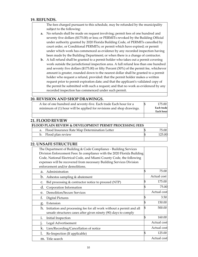#### <span id="page-9-0"></span>**19. REFUNDS.**

The fees charged pursuant to this schedule, may be refunded by the municipality subject to the following:

- **a.** No refunds shall be made on request involving; permit fees of one hundred and seventy five dollars (\$175.00) or less; or PERMITs revoked by the Building Official under authority granted by 2020 Florida Building Code, of PERMITs cancelled by court order, or Conditional PERMITs; or permit which have expired; or permit under which work has commenced as evidence by any recorded inspection having been made by the Building Department; or when there is a change of contractor.
- **b.** A full refund shall be granted to a permit holder who takes out a permit covering work outside the jurisdictional inspection area. A full refund less than one hundred and seventy five dollars (\$175.00) or fifty Percent (50%) of the permit fee, whichever amount is greater, rounded down to the nearest dollar shall be granted to a permit holder who request a refund, provided: that the permit holder makes a written request prior to permit expiration date; and that the applicant's validated copy of the permit be submitted with such a request; and that no work as evidenced by any recorded inspection has commenced under such permit.

#### <span id="page-9-1"></span>**20. REVISION AND SHOP DRAWINGS.**

| A fee of one hundred and seventy-five. Each trade Each hour for a    | 175.00                  |
|----------------------------------------------------------------------|-------------------------|
| minimum of (1) hour will be applied for revisions and shop drawings. | Each trade<br>Each hour |
|                                                                      |                         |

#### <span id="page-9-2"></span>**21. FLOOD REVIEW**

| FLOOD PLAIN REVIEW & DEVELOPMENT PERMIT PROCESSING FEES |                                               |  |        |  |  |
|---------------------------------------------------------|-----------------------------------------------|--|--------|--|--|
|                                                         | Flood Insurance Rate Map Determination Letter |  | 75.00  |  |  |
| $b_{-}$                                                 | Flood plan review                             |  | 125.00 |  |  |
|                                                         |                                               |  |        |  |  |

#### <span id="page-9-3"></span>**22. UNSAFE STRUCTURE**

| The Department of Building & Code Compliance - Building Services          |    |             |
|---------------------------------------------------------------------------|----|-------------|
| Division Enforcement Fees: In compliance with the 2020 Florida Building   |    |             |
| Code, National Electrical Code, and Miami County Code, the following      |    |             |
| expenses will be recovered from necessary Building Services Division      |    |             |
| enforcement and/or demolitions.                                           |    |             |
| Administration<br>a.                                                      | \$ | 75.00       |
| b.<br>Asbestos sampling & abatement                                       |    | Actual cost |
| Bid processing & contractor notice to proceed (NTP)<br>C.                 |    | 175.00      |
| d.<br>Corporation Information                                             | \$ | 75.00       |
| <b>Demolition/Secure Services</b><br>e.                                   |    | Actual cost |
| f.<br><b>Digital Pictures</b>                                             |    | 3.50        |
| Extension<br>g.                                                           | S  | 150.00      |
| h.<br>Initiation and processing fee for all work without a permit and all |    | 500.00      |
| unsafe structures cases after given ninety (90) days to comply            |    |             |
| Initial Inspection<br>1.                                                  | \$ | 160.00      |
| Legal Advertisement                                                       |    | Actual cost |
| k.<br>Lien/Recording/Cancellation of notice                               |    | Actual cost |
| Re-Inspection (If applicable)                                             | \$ | 125.00      |
| m. Title search                                                           |    | Actual cost |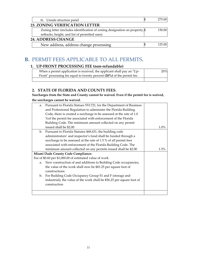<span id="page-10-0"></span>

| n. Unsafe structure panel                                                               | 275.00 |
|-----------------------------------------------------------------------------------------|--------|
| <b>23. ZONING VERIFICATION LETTER</b>                                                   |        |
| Zoning letter (includes identification of zoning designation on property, $\frac{1}{2}$ | 150.00 |
| setbacks, height, and list of permitted uses)                                           |        |
| <b>24. ADDRESS CHANGE</b>                                                               |        |
| New address, address change processing                                                  | 125.00 |

## <span id="page-10-3"></span><span id="page-10-2"></span><span id="page-10-1"></span>**B.** PERMIT FEES APPLICABLE TO ALL PERMITS**.**

## **1. UP-FRONT PROCESSING FEE (non-refundable)**

| When a permit application is received, the applicant shall pay an "Up-<br>Front" processing fee equal to twenty percent (20%) of the permit fee. | 20% |
|--------------------------------------------------------------------------------------------------------------------------------------------------|-----|
|                                                                                                                                                  |     |

#### <span id="page-10-4"></span>**2. STATE OF FLORIDA AND COUNTY FEES**.

**Surcharges from the State and County cannot be waived. Even if the permit fee is waived, the surcharges cannot be waived.**

| a. | Pursuant to Florida Statues 553.721, for the Department of Business    |         |
|----|------------------------------------------------------------------------|---------|
|    | and Professional Regulation to administer the Florida Building         |         |
|    | Code, there is created a surcharge to be assessed at the rate of 1.0   |         |
|    | % of the permit fee associated with enforcement of the Florida         |         |
|    | Building Code. The minimum amount collected on any permit              |         |
|    | issued shall be \$2.00                                                 | $1.0\%$ |
|    | b. Pursuant to Florida Statutes 468.631, the building code             |         |
|    | administrators' and inspector's fund shall be funded through a         |         |
|    | surcharge to be assessed at the rate of 1.5 % of all permit fees       |         |
|    | associated with enforcement of the Florida Building Code. The          |         |
|    | minimum amount collected on any permits issued shall be \$2.00         | 1.5%    |
|    | <b>Miami Dade County Code Compliance:</b>                              |         |
|    | Fee of \$0.60 per \$1,000.00 of estimated value of work                |         |
|    | a. New construction of and additions to Building Code occupancies,     |         |
|    | the value of the work shall now be \$81.25 per square foot of          |         |
|    | constructions.                                                         |         |
|    | b. For Building Code Occupancy Group S1 and F (storage and             |         |
|    | industrial), the value of the work shall be \$56.25 per square foot of |         |
|    | construction                                                           |         |
|    |                                                                        |         |
|    |                                                                        |         |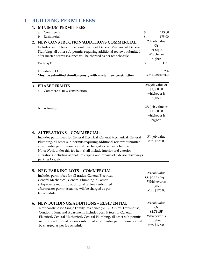## <span id="page-11-0"></span>**C. BUILDING PERMIT FEES**

<span id="page-11-6"></span><span id="page-11-5"></span><span id="page-11-4"></span><span id="page-11-3"></span><span id="page-11-2"></span><span id="page-11-1"></span>

| 1. | <b>MINIMUM PERMIT FEES</b>                                                                                                                                                                                                                                                                                                                                                                                                              |                                                                                    |
|----|-----------------------------------------------------------------------------------------------------------------------------------------------------------------------------------------------------------------------------------------------------------------------------------------------------------------------------------------------------------------------------------------------------------------------------------------|------------------------------------------------------------------------------------|
|    | Commercial<br>a.                                                                                                                                                                                                                                                                                                                                                                                                                        | 225.00                                                                             |
|    | b. Residential                                                                                                                                                                                                                                                                                                                                                                                                                          | 175.00                                                                             |
| 2. | NEW CONSTRUCTION/ADDITIONS COMMERCIAL:<br>Includes permit fees for General Electrical, General Mechanical, General<br>Plumbing, all other sub-permits requiring additional reviews submitted<br>after master permit issuance will be charged as per fee schedule                                                                                                                                                                        | 2% job value<br>Or<br>Per Sq Ft.<br>Whichever<br>higher                            |
|    | Each Sq Ft                                                                                                                                                                                                                                                                                                                                                                                                                              | \$<br>1.75                                                                         |
|    | Foundation Only<br>Must be submitted simultaneously with master new construction                                                                                                                                                                                                                                                                                                                                                        | 2%<br>Each \$1.00 job value                                                        |
|    | 3. PHASE PERMITS<br>Commercial new construction.<br>a.                                                                                                                                                                                                                                                                                                                                                                                  | 2% job value or<br>\$1,500.00<br>whichever is<br>higher                            |
|    | $\mathbf{b}$ .<br>Alteration                                                                                                                                                                                                                                                                                                                                                                                                            | 3% Job value or<br>\$1,500.00<br>whichever is<br>higher.                           |
|    |                                                                                                                                                                                                                                                                                                                                                                                                                                         |                                                                                    |
| 4. | <b>ALTERATIONS - COMMERCIAL:</b><br>Includes permit fees for General Electrical, General Mechanical, General<br>Plumbing, all other sub-permits requiring additional reviews submitted<br>after master permit issuance will be charged as per fee schedule.<br>Note: Work under this fee item shall include interior and exterior<br>alterations including asphalt, restriping and repairs of exterior driveways,<br>parking lots, etc. | 3% job value<br>Min. \$225.00                                                      |
|    |                                                                                                                                                                                                                                                                                                                                                                                                                                         |                                                                                    |
| 5. | <b>NEW PARKING LOTS - COMMERCIAL:</b><br>Includes permit fees for all trades. General Electrical,<br>General Mechanical, General Plumbing, all other<br>sub-permits requiring additional reviews submitted<br>after master permit issuance will be charged as per<br>fee schedule.                                                                                                                                                      | 2% job value<br>Or \$0.25 x Sq Ft<br>Whichever is<br>higher<br>Min. \$175.00       |
|    |                                                                                                                                                                                                                                                                                                                                                                                                                                         |                                                                                    |
| 6. | <b>NEW BUILDINGS/ADDITIONS - RESIDENTIAL:</b><br>New construction Single Family Residence (SFR), Duplex, Townhouse,<br>Condominium, and Apartments includes permit fees for General<br>Electrical, General Mechanical, General Plumbing, all other sub-permits<br>requiring additional reviews submitted after master permit issuance will<br>be charged as per fee schedule.                                                           | 2% job value<br><b>Or</b><br>\$1.71 /SF<br>Whichever is<br>higher<br>Min. \$175.00 |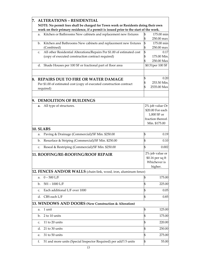<span id="page-12-6"></span><span id="page-12-5"></span><span id="page-12-4"></span><span id="page-12-3"></span><span id="page-12-2"></span><span id="page-12-1"></span><span id="page-12-0"></span>

| 7. |                                                                                        | <b>ALTERATIONS - RESIDENTIAL</b>                                                  |          |                          |
|----|----------------------------------------------------------------------------------------|-----------------------------------------------------------------------------------|----------|--------------------------|
|    |                                                                                        | NOTE: No permit fees shall be charged for Town work or Residents doing their own  |          |                          |
|    | work on their primary residence, if a permit is issued prior to the start of the work. |                                                                                   |          |                          |
|    | a.                                                                                     | Kitchen or Bathrooms New cabinets and replacement new fixtures                    |          | 175.00 min               |
|    |                                                                                        |                                                                                   | 5        | 250.00 max               |
|    | b.                                                                                     | Kitchen and Bathrooms New cabinets and replacement new fixtures<br>(Combined)     | \$<br>\$ | 175.00 min<br>250.00 max |
|    | C.                                                                                     | All other Residential Alterations/Repairs Per \$1.00 of estimated cost            | \$       | 0.17                     |
|    |                                                                                        | (copy of executed construction contract required)                                 | 5        | 175.00 Min.              |
|    |                                                                                        |                                                                                   |          | 250.00 Max               |
|    | d.                                                                                     | Shade Houses per 100 SF or fractional part of floor area                          |          | \$0.51 per 100 SF        |
|    |                                                                                        |                                                                                   |          | 0.20                     |
| 8. |                                                                                        | <b>REPAIRS DUE TO FIRE OR WATER DAMAGE</b>                                        |          | 253.50 Min.              |
|    |                                                                                        | Per \$1.00 of estimated cost (copy of executed construction contract<br>required) |          | 2535.00 Max              |
|    |                                                                                        |                                                                                   |          |                          |
| 9. |                                                                                        | <b>DEMOLITION OF BUILDINGS</b>                                                    |          |                          |
|    | a.                                                                                     | All type of structures.                                                           |          | 2% job value Or          |
|    |                                                                                        |                                                                                   |          | \$20.00 For each         |
|    |                                                                                        |                                                                                   |          | 1,000 SF or              |
|    |                                                                                        |                                                                                   |          | fraction thereof.        |
|    |                                                                                        |                                                                                   |          | Min. \$175.00            |
|    |                                                                                        | <b>10. SLABS</b>                                                                  |          |                          |
|    | a.                                                                                     | Paving & Drainage (Commercial)/SF Min. \$250.00                                   | \$       | 0.19                     |
|    | b.                                                                                     | Resurface & Striping (Commercial)/SF Min. \$250.00                                | \$       | 0.10                     |
|    | C.                                                                                     | Reseal & Restriping (Commercial)/SF Min. \$250.00                                 | \$       | 0.002                    |
|    |                                                                                        | <b>11. ROOFING/RE-ROOFING/ROOF REPAIR</b>                                         |          | 2% job value or          |
|    |                                                                                        |                                                                                   |          | \$0.16 per sq ft         |
|    |                                                                                        |                                                                                   |          | Whichever is             |
|    |                                                                                        |                                                                                   |          | higher.                  |
|    |                                                                                        | 12. FENCES AND/OR WALLS (chain-link, wood, iron, aluminum fence)                  |          |                          |
|    | a.                                                                                     | $0 - 500$ L/F                                                                     | \$       | 175.00                   |
|    | b.                                                                                     | $501 - 1000$ L/F                                                                  | \$       | 225.00                   |
|    | c.                                                                                     | Each additional L/F over 1000                                                     | \$       | 0.05                     |
|    | d.                                                                                     | CBS each L/F                                                                      | \$       | 0.85                     |
|    |                                                                                        | 13. WINDOWS AND DOORS (New Construction & Alteration)                             |          |                          |
|    | a.                                                                                     | 1 unit                                                                            | \$       | 125.00                   |
|    | b.                                                                                     | 2 to 10 units                                                                     | \$       | 175.00                   |
|    | c.                                                                                     | 11 to 20 units                                                                    | \$       | 220.00                   |
|    | d.                                                                                     | 21 to 30 units                                                                    | \$       | 250.00                   |
|    | e.                                                                                     | 31 to 50 units                                                                    | \$       | 275.00                   |
|    | f.                                                                                     | 51 and more units (Special Inspector Required) per add'l 5 units                  | \$       | 55.00                    |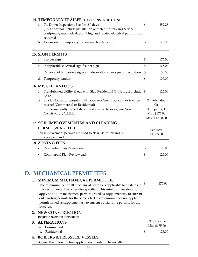<span id="page-13-2"></span><span id="page-13-1"></span><span id="page-13-0"></span>

|    | 14. TEMPORARY TRAILER (FOR CONSTRUCTION)                                          |                  |
|----|-----------------------------------------------------------------------------------|------------------|
| a. | Tie Down Inspections Fee for 180 days.                                            | 352.28           |
|    | (This does not include installation of meter mounts and service                   |                  |
|    | equipment, mechanical, plumbing, and related electrical permits are               |                  |
|    | required                                                                          |                  |
| b. | Extension for temporary trailers (each extension)                                 | 175.00           |
|    | 15. SIGN PERMITS                                                                  |                  |
| a. | Fee per sign                                                                      | \$<br>175.00     |
| b. | If applicable electrical sign fee per sign                                        | \$<br>175.00     |
| C. | Removal of temporary signs and decorations, per sign or decoration                | \$<br>50.00      |
| d. | Temporary banner                                                                  | \$<br>100.00     |
|    | <b>16. MISCELLANEOUS</b>                                                          |                  |
| a. | Prefabricated Utility Sheds with Slab Residential Only; must include              | \$<br>125.00     |
|    | <b>NOA</b>                                                                        |                  |
| b. | Shade Houses or pergolas with open roof/trellis per sq ft or fraction             | 2% job value     |
|    | thereof (Commercial or Residential)                                               | Or               |
| C. | For permanently roofed structures/covered terraces, use New                       | \$1.16 per Sq Ft |
|    | Construction/Addition                                                             | Min. \$175.00    |
|    |                                                                                   | Max. \$1,500.00  |
|    | <b>17. SOIL IMPROVEMENTS/LAND CLEARING</b>                                        |                  |
|    | PERMITS/LAKEFILL:                                                                 | Per Acre         |
|    | Soil improvement permits are used to clear, de-muck and fill<br>undeveloped land. | \$1,565.00       |
|    |                                                                                   |                  |
|    | 18. ZONING FEES                                                                   |                  |
|    | Residential Plan Review each                                                      | \$<br>75.00      |
|    | Commercial Plan Review each                                                       | \$<br>125.00     |

## <span id="page-13-5"></span><span id="page-13-4"></span><span id="page-13-3"></span>**D. MECHANICAL PERMIT FEES**

<span id="page-13-9"></span><span id="page-13-8"></span><span id="page-13-7"></span><span id="page-13-6"></span>

|    | <b>MINIMUM MECHANICAL PERMIT FEE:</b><br>The minimum fee for all mechanical permits is applicable to all items in<br>this section except as otherwise specified. This minimum fee does not<br>apply to add-on mechanical permits issued as supplementary to current<br>outstanding permits for the same job. This minimum does not apply to<br>permit issued as supplementary to current outstanding permits for the<br>same job. | 175.00                                  |
|----|-----------------------------------------------------------------------------------------------------------------------------------------------------------------------------------------------------------------------------------------------------------------------------------------------------------------------------------------------------------------------------------------------------------------------------------|-----------------------------------------|
|    | <b>NEW CONSTRUCTION</b><br>Included systems installation.                                                                                                                                                                                                                                                                                                                                                                         |                                         |
| В. | <b>ALTERATIONS</b><br>Commercial<br>a <sub>1</sub><br>Residential<br>$\mathbf{C}$                                                                                                                                                                                                                                                                                                                                                 | 3% job value<br>Min. \$175.00<br>125.00 |
| 4. | <b>BOILERS &amp; PRESSURE VESSELS</b><br>Boilers: the following fees apply to each boiler to be installed                                                                                                                                                                                                                                                                                                                         |                                         |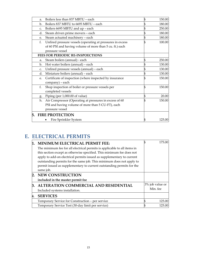| a.          | Boilers less than 837 MBTU - each                          | 150.00 |
|-------------|------------------------------------------------------------|--------|
| b.          | Boilers 837 MBTU to 6695 MBTU - each                       | 180.00 |
| $C_{\star}$ | Boilers 6695 MBTU and up - each                            | 250.00 |
| d.          | Steam driven prime movers - each                           | 180.00 |
| e.          | Steam actuated machinery - each                            | 180.00 |
| f.          | Unfired pressure vessels (operating at pressures in excess | 100.00 |
|             | of 60 PSI and having volume of more than 5 cu. ft.) each   |        |
|             | pressure vessel                                            |        |
|             | FEES FOR PERIODIC RE-INSPOECTIONS                          |        |
| a.          | Steam boilers (annual) - each                              | 250.00 |
| b.          | Hot water boilers (annual) - each                          | 130.00 |
| C.          | Unfired pressure vessels (annual) - each                   | 130.00 |
| d.          | Miniature boilers (annual) - each                          | 130.00 |
| e.          | Certificate of inspection (where inspected by insurance    | 150.00 |
|             | company) – each                                            |        |
| f.          | Shop inspection of boiler or pressure vessels per          | 150.00 |
|             | completed vessels                                          |        |
| g.          | Piping (per 1,000.00 of value)                             | 20.00  |
| h.          | Air Compressor (Operating at pressures in excess of 60     | 150.00 |
|             | PSI and having volume of more than 5 CU-FT), each          |        |
|             | pressure vessel                                            |        |
| 5.          | <b>FIRE PROTECTION</b>                                     |        |
|             | Fire Sprinkler System                                      | 125.00 |

## <span id="page-14-1"></span><span id="page-14-0"></span>**E. ELECTRICAL PERMITS**

<span id="page-14-6"></span><span id="page-14-5"></span><span id="page-14-4"></span><span id="page-14-3"></span><span id="page-14-2"></span>

| 1. | <b>MINIMUM ELECTRICAL PERMIT FEE:</b>                                    | 175.00          |
|----|--------------------------------------------------------------------------|-----------------|
|    | The minimum fee for all electrical permits is applicable to all items in |                 |
|    | this section except as otherwise specified. This minimum fee does not    |                 |
|    | apply to add-on electrical permits issued as supplementary to current    |                 |
|    | outstanding permits for the same job. This minimum does not apply to     |                 |
|    | permit issued as supplementary to current outstanding permits for the    |                 |
|    | same job.                                                                |                 |
|    | 2. NEW CONSTRUCTION                                                      |                 |
|    | included in the master permit fee                                        |                 |
| B. | ALTERATION COMMERCIAL AND RESIDENTIAL                                    | 3% job value or |
|    | Included systems installation.                                           | Min. fee        |
| 4. | <b>SERVICES</b>                                                          |                 |
|    | Temporary Service for Construction – per service                         | 125.00          |
|    | Temporary Service Test (30-day limit per service)                        | 125.00          |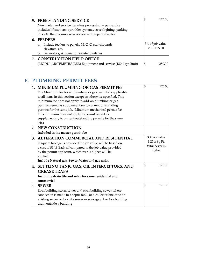<span id="page-15-1"></span><span id="page-15-0"></span>

| 5. | <b>FREE STANDING SERVICE</b>                                        | 175.00          |
|----|---------------------------------------------------------------------|-----------------|
|    | New meter and service (requires processing) – per service           |                 |
|    | includes lift stations, sprinkler systems, street lighting, parking |                 |
|    | lots, etc. that requires new service with separate meter.           |                 |
| 6. | <b>FEEDERS</b>                                                      |                 |
|    | Include feeders to panels, M. C. C. switchboards,<br>a.             | 3% of job value |
|    | elevators, etc.                                                     | Min. 175.00     |
|    | Generators, Automatic Transfer Switches<br>$\mathbf{b}$ .           |                 |
|    | <b>CONSTRUCTION FIELD OFFICE</b>                                    |                 |
|    | (MODULAR/TEMPTRAILER) Equipment and service (180-days limit)        | 251             |

## <span id="page-15-3"></span><span id="page-15-2"></span>**F. PLUMBING PERMIT FEES**

<span id="page-15-8"></span><span id="page-15-7"></span><span id="page-15-6"></span><span id="page-15-5"></span><span id="page-15-4"></span>

| 1. | <b>MINIMUM PLUMBING OR GAS PERMIT FEE</b>                         | 175.00               |
|----|-------------------------------------------------------------------|----------------------|
|    | The Minimum fee for all plumbing or gas permits is applicable     |                      |
|    | to all items in this section except as otherwise specified. This  |                      |
|    | minimum fee does not apply to add-on plumbing or gas              |                      |
|    | permits issued as supplementary to current outstanding            |                      |
|    | permits for the same job. (Minimum mechanical permit fee.         |                      |
|    | This minimum does not apply to permit issued as                   |                      |
|    | supplementary to current outstanding permits for the same         |                      |
|    | job.)                                                             |                      |
| 2. | <b>NEW CONSTRUCTION</b>                                           |                      |
|    | included in the master permit fee                                 |                      |
| 3. | <b>ALTERATION COMMERCIAL AND RESIDENTIAL</b>                      | 3% job value         |
|    | If square footage is provided the job value will be based on      | $1.25 \times$ Sq Ft. |
|    | a cost of \$1.19 Each s/f compared to the job value provided      | Whichever is         |
|    | by the permit applicant, whichever is higher will be              | higher               |
|    | applied.                                                          |                      |
|    | Include Natural gas, Sewer, Water and gas main.                   |                      |
| 4. | SETTLING TANK, GAS, OIL INTERCEPTORS, AND                         | 125.00               |
|    | <b>GREASE TRAPS</b>                                               |                      |
|    | Including drain tile and relay for same residential and           |                      |
|    | commercial                                                        |                      |
| Б. | <b>SEWER</b>                                                      | 125.00               |
|    | Each building storm sewer and each building sewer where           |                      |
|    | connection is made to a septic tank, or a collector line or to an |                      |
|    | existing sewer or to a city sewer or soakage pit or to a building |                      |
|    | drain outside a building                                          |                      |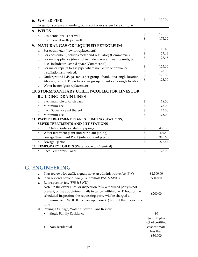<span id="page-16-3"></span><span id="page-16-2"></span><span id="page-16-1"></span><span id="page-16-0"></span>

| 6. | <b>WATER PIPE</b>                                                                                                   | 125.00 |
|----|---------------------------------------------------------------------------------------------------------------------|--------|
|    | Irrigation system and underground sprinkler system for each zone                                                    |        |
| 8. | <b>WELLS</b>                                                                                                        |        |
|    | Residential wells per well<br>a.                                                                                    | 125.00 |
|    | Commercial wells per well<br>b.                                                                                     | 175.00 |
| 9. | NATURAL GAS OR LIQUIFIED PETROLEUM                                                                                  |        |
|    | For each meter (new or replacement)<br>a.                                                                           | 10.46  |
|    | For each outlet (includes meter and regulator) (Commercial)<br>b.                                                   | 27.46  |
|    | For each appliance (does not include warm air heating units, but<br>c.<br>does include un-vented space (Commercial) | 27.46  |
|    | For major repairs to gas pipe where no fixture or appliance<br>d.                                                   | 125.00 |
|    | installation is involved.                                                                                           | 125.00 |
|    | Underground L.P. gas tanks per group of tanks at a single location<br>e.                                            | 125.00 |
|    | Above ground L.P. gas tanks per group of tanks at a single location<br>f.                                           | 125.00 |
|    | Water heater (gas) replacement<br>g.                                                                                |        |
|    | 10. STORM/SANITARY UTILITY/COLLECTOR LINES FOR                                                                      |        |
|    | <b>BUILDING DRAIN LINES</b>                                                                                         |        |
|    | Each manhole or catch basin<br>a.                                                                                   | 18.00  |
|    | Minimum Fee<br>b.                                                                                                   | 175.00 |
|    | Each 50 feet or part thereof<br>C.                                                                                  | 13.00  |
|    | Minimum Fee<br>$d_{\cdot}$                                                                                          | 175.00 |
|    | 11. WATER TREATMENT PLANTS, PUMPING STATIONS,                                                                       |        |
|    | SEWER TREATMENTS AND LIFT STATIONS                                                                                  |        |
|    | Lift Station (interior station piping)<br>a.                                                                        | 450.58 |
|    | Water treatment plant (interior plant piping)<br>b.                                                                 | 402.40 |
|    | Sewage Treatment Plant (interior plant piping)<br>C.                                                                | 310.65 |
|    | Sewage Ejector<br>d.                                                                                                | 226.63 |
|    | 12. TEMPORARY TOILETS (Waterborne or Chemical)                                                                      |        |
|    | Each Temporary Toilet<br>a.                                                                                         | 125.00 |

## <span id="page-16-4"></span>**G. ENGINEERING**

| a.             | Plan reviews for traffic signals have an administrative fee (PW)       | \$1,500.00      |
|----------------|------------------------------------------------------------------------|-----------------|
| $\mathbf{b}$ . | Plan reviews beyond two (2) submittals (WS & SWU)                      | \$300.00        |
| c.             | Re-inspection fee. (WS & SWU)                                          |                 |
|                | Note: In the event a test or inspection fails, a required party is not |                 |
|                | present, or the appointment fails to cancel within one (1) hour of the | \$200.00        |
|                | scheduled inspection, the requesting party will be charged a           |                 |
|                | minimum fee of \$200.00 to cover up to one (1) hour of the inspector's |                 |
|                | time                                                                   |                 |
|                | <b>d.</b> Paving, Drainage, Water & Sewer Plans Review                 |                 |
|                | <b>Single Family Residence</b><br>$\bullet$                            | \$0             |
|                |                                                                        | \$450.00 plus   |
|                |                                                                        | 4% of certified |
|                | Non-residential                                                        | cost estimate   |
|                |                                                                        | less than       |
|                |                                                                        | \$30,000        |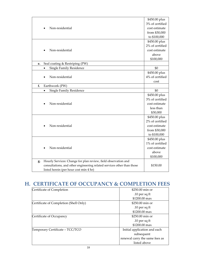|    |                                                                        | \$450.00 plus   |
|----|------------------------------------------------------------------------|-----------------|
|    |                                                                        | 3% of certified |
|    | Non-residential                                                        | cost estimate   |
|    |                                                                        | from \$30,000   |
|    |                                                                        | to \$100,000    |
|    |                                                                        | \$450.00 plus   |
|    |                                                                        | 2% of certified |
|    | Non-residential                                                        | cost estimate   |
|    |                                                                        | above           |
|    |                                                                        | \$100,000       |
| e. | Seal coating & Restriping (PW)                                         |                 |
|    | <b>Single Family Residence</b><br>$\bullet$                            | \$0             |
|    |                                                                        | \$450.00 plus   |
|    | Non-residential                                                        | 4% of certified |
|    |                                                                        | cost            |
| f. | Earthwork (PW)                                                         |                 |
|    | <b>Single Family Residence</b>                                         | \$0             |
|    |                                                                        | \$450.00 plus   |
|    |                                                                        | 3% of certified |
|    | Non-residential                                                        | cost estimate   |
|    |                                                                        | less than       |
|    |                                                                        | \$30,000        |
|    |                                                                        | \$450.00 plus   |
|    |                                                                        | 2% of certified |
|    | Non-residential                                                        | cost estimate   |
|    |                                                                        | from \$30,000   |
|    |                                                                        | to \$100,000    |
|    |                                                                        | \$450.00 plus   |
|    |                                                                        | 1% of certified |
|    | Non-residential                                                        | cost estimate   |
|    |                                                                        | above           |
|    |                                                                        | \$100,000       |
| g. | Hourly Services: Change for plan review, field observation and         |                 |
|    | consultations, and other engineering related services other than those | \$150.00        |
|    | listed herein (per hour cost min 4 hr)                                 |                 |

## <span id="page-17-0"></span>**H. CERTIFICATE OF OCCUPANCY & COMPLETION FEES**

| Certificate of Completion              | \$250.00 min or                |
|----------------------------------------|--------------------------------|
|                                        | $.10$ per sq ft                |
|                                        | $$1200.00$ max                 |
| Certificate of Completion (Shell Only) | \$250.00 min or                |
|                                        | $.10$ per sq ft                |
|                                        | \$1200.00 max                  |
| Certificate of Occupancy               | \$250.00 min or                |
|                                        | $.10$ per sq ft                |
|                                        | \$1200.00 max                  |
| Temporary Certificate - TCC/TCO        | Initial application and each   |
|                                        | subsequent                     |
|                                        | renewal carry the same fees as |
|                                        | listed above                   |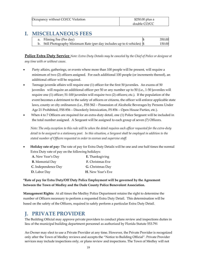| Occupancy without CO/CC Violation | \$250.00 plus a |
|-----------------------------------|-----------------|
|                                   | double CO/CC    |

## <span id="page-18-0"></span>**I. MISCELLANEOUS FEES**

| a. Filming Fee (Per day)                                                         | 350.00 |
|----------------------------------------------------------------------------------|--------|
| Still Photography Minimum Rate (per day includes up to 4 vehicles) $\frac{1}{2}$ | 150.00 |

**Police Extra Duty Service** *Note: Extra Duty Details may be canceled by the Chief of Police or designee at any time with or without cause.*

- Party affairs, gatherings, or events where more than 100 people will be present, will require a minimum of two (2) officers assigned. For each additional 100 people (or increments thereof), an additional officer will be required.
- Teenage juvenile affairs will require one (1) officer for the first 50 juveniles. An excess of 50 juveniles will require an additional officer per 50 or any number up to 50 (i.e., 1-50 juveniles will require one (1) officer; 51-100 juveniles will require two (2) officers; etc.). If the population of the event becomes a detriment to the safety of officers or citizens, the officer will enforce applicable state laws, county or city ordinances (i.e., FSS 562 – Possession of Alcoholic Beverages by Persons Under Age 21 Prohibited, FSS 856 – Disorderly Intoxication, FS 856 – Open House Parties, etc.).
- When 4 to 7 Officers are required for an extra-duty detail, one (1) Police Sergeant will be included in the total number assigned. A Sergeant will be assigned to each group of seven (7) Officers.

 *Note: The only exception to this rule will be when the detail requires each officer requested for the extra-duty detail to be assigned to a stationary post. In this situation, a Sergeant shall be employed in addition to the stated number of Officers requested in order to oversee and supervise staff.*

• **Holiday rate of pay-** The rate of pay for Extra Duty Details will be one and one half times the normal Extra Duty rate of pay on the following holidays:

| A. New Year's Day      | E. Thanksgiving          |
|------------------------|--------------------------|
| <b>B.</b> Memorial Day | <b>F.</b> Christmas Eve  |
| C. Independence Day    | G. Christmas Day         |
| D. Labor Day           | <b>H.</b> New Year's Eve |

#### **\*Rate of pay for Extra Duty/Off Duty Police Employment will be governed by the Agreement between the Town of Medley and the Dade County Police Benevolent Association.**

**Management Rights:** At all times the Medley Police Department retains the right to determine the number of Officers necessary to perform a requested Extra Duty Detail. This determination will be based on the safety of the Officers, required to safely perform a particular Extra Duty Detail.

## <span id="page-18-1"></span>**J. PRIVATE PROVIDER**

The Building Official may approve private providers to conduct plans review and inspections duties in lieu of the municipal building department personnel as authorized by Florida Statute 553.791

An Owner may elect to use a Private Provider at any time. However, the Private Provider is recognized only after the Town of Medley reviews and accepts the "Notice to Building Official". Private Provider services may include inspections only, or plans review and inspections. The Town of Medley will not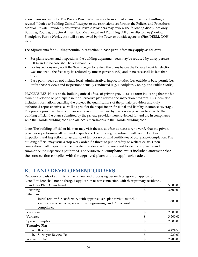allow plans review only. The Private Provider's role may be modified at any time by submitting a revised "Notice to Building Official", subject to the restrictions set forth in the Policies and Procedures Manual. Private Provider plans review. Private Providers may review the following disciplines only: Building, Roofing, Structural, Electrical, Mechanical and Plumbing. All other disciplines (Zoning, Floodplain, Public Works, etc.) will be reviewed by the Town or outside agencies (Fire, DERM, DOH, etc.)

#### **Fee adjustments for building permits. A reduction in base permit fees may apply, as follows:**

- For plans review and inspections, the building department fees may be reduced by thirty percent (30%) and in no case shall be less than \$175.00
- For inspections only (or if the Town began to review the plans before the Private Provider election was finalized), the fees may be reduced by fifteen percent (15%) and in no case shall be less than \$175.00
- Base permit fees do not include local, administrative, impact or other fees outside of base permit fees or for those reviews and inspections actually conducted (e.g. Floodplain, Zoning, and Public Works).

PROCEDURES: Notice to the building official of use of private providers is a form indicating that the fee owner has elected to participate in the alternative plan review and inspection program. This form also includes information regarding the project, the qualifications of the private providers and duly authorized representative, as well as proof of the requisite professional and liability insurance coverage. The private provider plan compliance affidavit form is used by the private provider to attest to the building official the plans submitted by the private provider were reviewed for and are in compliance with the Florida building code and all local amendments to the Florida building code.

Note: The building official or his staff may visit the site as often as necessary to verify that the private provider is performing all required inspections. The building department will conduct all final inspections and inspection for assurance of temporary or final certificates of occupancy/completion. The building official may issue a stop work order if a threat to public safety or welfare exists. Upon completion of all inspections, the private provider shall prepare a certificate of compliance and summarize the inspections performed. The certificate of compliance must include a statement that the construction complies with the approved plans and the applicable codes.

## <span id="page-19-0"></span>**K. LAND DEVELOPMENT ORDERS**

Recovery of costs of administrative review and processing per each category of application. Note: Resident shall not be charged application fees in connection with their primary residence.

| TVOIT. RESIGENT SHAIFHOLDE CHAPEGU APPIRATION TEES IN CONFIECTION WHIT THEIR PLINIALY TESIGENCE. |  |          |
|--------------------------------------------------------------------------------------------------|--|----------|
| Land Use Plan Amendment                                                                          |  | 5,000.00 |
| Rezoning                                                                                         |  | 3,500.00 |
| Site Plan:                                                                                       |  |          |
| Initial review for conformity with approved site plan review to include                          |  |          |
| verification of setbacks, elevations, Engineering, and Public work                               |  | 1,500.00 |
| compliance                                                                                       |  |          |
| Vacations                                                                                        |  | 2,500.00 |
| Variance                                                                                         |  | 3,500.00 |
| Special Exception                                                                                |  | 2,800.00 |
| <b>Tentative Plat</b>                                                                            |  |          |
| Base Fee<br>a.                                                                                   |  | 4,474.50 |
| <b>Surveyor Review Fee</b><br>b.                                                                 |  | 1,920.00 |
| Waiver of Plat                                                                                   |  | 2,288.00 |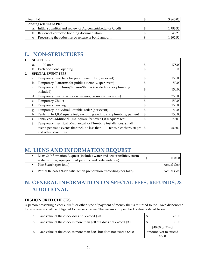| Final Plat<br>3,840.00                                                       |        |
|------------------------------------------------------------------------------|--------|
|                                                                              |        |
| <b>Bonding relating to Plat</b>                                              |        |
| Initial submittal and review of Agreement/Letter of Credit<br>1,786.50<br>a. |        |
| b. Review of corrected bonding documentation                                 | 645.25 |
| Processing the reduction or release of bond amount<br>1.402.50               |        |

## <span id="page-20-0"></span>**L. NON-STRUCTURES**

| h. |                | <b>SHUTTERS</b>                                                              |   |        |
|----|----------------|------------------------------------------------------------------------------|---|--------|
|    | a.             | $1 - 30$ units                                                               |   | 175.00 |
|    | $\mathbf{b}$ . | Each additional opening                                                      |   | 10.00  |
| 2. |                | <b>SPECIAL EVENT FEES</b>                                                    |   |        |
|    | a.             | Temporary Bleachers for public assembly, (per event)                         |   | 150.00 |
|    | b.             | Temporary Platforms for public assembly, (per event)                         |   | 50.00  |
|    | C.             | Temporary Structures/Trusses/Statues (no electrical or plumbing              |   |        |
|    |                | included)                                                                    |   | 150.00 |
|    | d.             | Temporary Electric work on circuses, carnivals (per show)                    |   | 250.00 |
|    | e.             | Temporary Chiller                                                            |   | 150.00 |
|    | f.             | <b>Temporary Fencing</b>                                                     |   | 150.00 |
|    | g.             | Temporary Individual Portable Toiler (per event)                             |   | 50.00  |
|    | h.             | Tents up to 1,000 square feet, excluding electric and plumbing, per tent     |   | 150.00 |
|    | i.             | Tents, each additional 1,000 square feet over 1,000 square feet              |   | 70.00  |
|    | $\mathbf{1}$   | Temporary Electrical, Mechanical, or Plumbing installations, small           |   |        |
|    |                | event, per trade events that include less than 1-10 tents, bleachers, stages | D | 250.00 |
|    |                | and other structures                                                         |   |        |

## <span id="page-20-1"></span>**M. LIENS AND INFORMATION REQUEST**

| Liens & Information Request (includes water and sewer utilities, storm<br>water utilities, open/expired permits, and code violation) | 100.00             |
|--------------------------------------------------------------------------------------------------------------------------------------|--------------------|
| Plan Search (per folio)                                                                                                              | <b>Actual Cost</b> |
| Partial Releases /Lien satisfaction preparation /recording (per folio)                                                               | <b>Actual Cost</b> |

## <span id="page-20-2"></span>**N. GENERAL INFORMATION ON SPECIAL FEES, REFUNDS, & ADDITIONAL**

## **DISHONORED CHECKS**

A person presenting a check, draft, or other type of payment of money that is returned to the Town dishonored for any reason shall be obligated to pay service fee. The fee amount per check value is stated below

| a. Face value of the check does not exceed \$50                         | S<br>25.001          |
|-------------------------------------------------------------------------|----------------------|
| b. Face value of the check is more than \$50 but does not exceed \$300  | S<br>30.001          |
|                                                                         | \$40.00 or $5\%$ of  |
| c. Face value of the check is more than \$300 but does not exceed \$800 | amount Not to exceed |
|                                                                         | \$500                |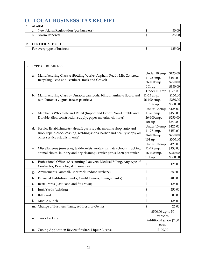## <span id="page-21-0"></span>**O. LOCAL BUSINESS TAX RECEIPT**

| <b>ALARM</b>                             |       |
|------------------------------------------|-------|
| a. New Alarm Registration (per business) | 50.00 |
| Alarm Renewal<br>b <sub>1</sub>          | 35.00 |
|                                          |       |
| <b>CERTIFICATE OF USE</b>                |       |

| business<br>--- -<br>Ωt<br>$\alpha_{\text{V}}$<br>nρ<br>$\mathbf{v}$<br>.<br>.<br>$\sim$ | $5.00^{\circ}$<br>__ |
|------------------------------------------------------------------------------------------|----------------------|

| 3. |    | <b>TYPE OF BUSINESS</b>                                                                                                                                                            |                                                                   |                                              |
|----|----|------------------------------------------------------------------------------------------------------------------------------------------------------------------------------------|-------------------------------------------------------------------|----------------------------------------------|
|    | a. | Manufacturing Class A (Bottling Works, Asphalt, Ready Mix Concrete,<br>Recycling, Feed and Fertilizer, Rock and Gravel)                                                            | Under 10 emp.<br>11-25 emp.<br>26-100emp.<br>101 up               | \$125.00<br>\$150.00<br>\$250.00<br>\$350.00 |
|    | b. | Manufacturing Class B (Durable: can foods, blinds, laminate floors. and<br>non-Durable: yogurt, frozen pastries.)                                                                  | Under 10 emp.<br>11-25 emp.<br>26-100 emp.<br>101 & up            | \$125.00<br>\$150.00<br>\$250.00<br>\$350.00 |
|    | c. | Merchants Wholesale and Retail (Import and Export Non-Durable and<br>Durable: tiles, construction supply, paper material, clothing)                                                | Under 10 emp.<br>11-26 emp.<br>26-100emp.<br>101 up               | \$125.00<br>\$150.00<br>\$250.00<br>\$350.00 |
|    | d. | Service Establishments (aircraft parts repair, machine shop, auto and<br>truck repair, check cashing, welding shops, barber and beauty shops, all<br>other service establishments) | Under 10 emp.<br>11-27 emp.<br>26-100emp.<br>101 up               | \$125.00<br>\$150.00<br>\$250.00<br>\$350.00 |
|    | е. | Miscellaneous (nurseries, taxidermists, motels, private schools, trucking,<br>animal clinics, laundry and dry cleaning) Trailer parks \$2.50 per trailer                           | Under 10 emp.<br>11-28 emp.<br>26-100emp.<br>101 up               | \$125.00<br>\$150.00<br>\$250.00<br>\$350.00 |
|    | f. | Professional Offices (Accounting, Lawyers, Medical Billing, Any type of<br>Contractor, Psychologist, Insurance)                                                                    | \$                                                                | 125.00                                       |
|    | g. | Amusement (Paintball, Racetrack, Indoor Archery)                                                                                                                                   | \$                                                                | 350.00                                       |
|    | h. | Financial Institution (Banks, Credit Unions, Foreign Banks)                                                                                                                        | \$                                                                | 400.00                                       |
|    | i. | Restaurants (Fast Food and Sit Down)                                                                                                                                               | \$                                                                | 125.00                                       |
|    | j. | Junk Yards (existing)                                                                                                                                                              | $\mathbb{S}$                                                      | 250.00                                       |
|    | k. | Billboard                                                                                                                                                                          | \$                                                                | 500.00                                       |
|    | 1. | Mobile Lunch                                                                                                                                                                       | \$                                                                | 125.00                                       |
|    |    | m. Change of Business Name, Address, or Owner                                                                                                                                      | \$                                                                | 25.00                                        |
|    | n. | <b>Truck Parking</b>                                                                                                                                                               | \$500.00 up to 50<br>vehicles<br>Additional space \$7.00<br>each. |                                              |
|    | 0. | Zoning Application Review for State Liquor License                                                                                                                                 | \$100.00                                                          |                                              |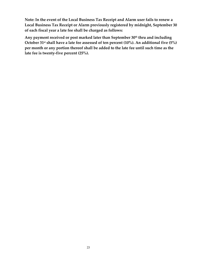**Note: In the event of the Local Business Tax Receipt and Alarm user fails to renew a Local Business Tax Receipt or Alarm previously registered by midnight, September 30 of each fiscal year a late fee shall be charged as follows:** 

**Any payment received or post marked later than September 30th thru and including October 31st shall have a late fee assessed of ten percent (10%). An additional five (5%) per month or any portion thereof shall be added to the late fee until such time as the late fee is twenty-five percent (25%).**